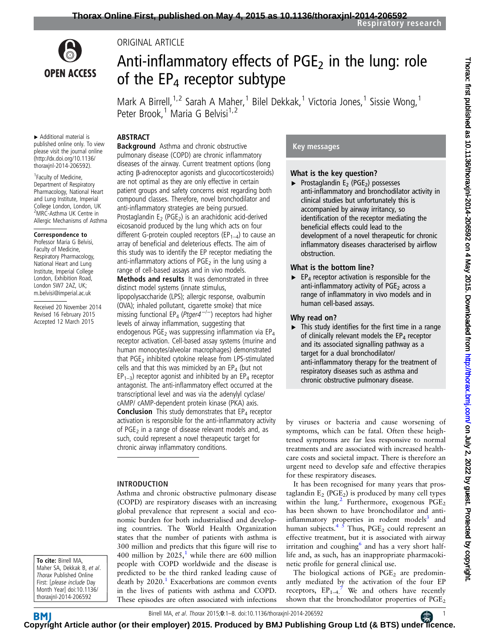

ORIGINAL ARTICLE

# Anti-inflammatory effects of  $PGE<sub>2</sub>$  in the lung: role of the  $EP_4$  receptor subtype

Mark A Birrell,<sup>1,2</sup> Sarah A Maher,<sup>1</sup> Bilel Dekkak,<sup>1</sup> Victoria Jones,<sup>1</sup> Sissie Wong,<sup>1</sup> Peter Brook,<sup>1</sup> Maria G Belvisi<sup>1,2</sup>

## ABSTRACT

▸ Additional material is published online only. To view please visit the journal online [\(http://dx.doi.org/10.1136/](http://dx.doi.org/10.1136/thoraxjnl-2014-206592) [thoraxjnl-2014-206592\)](http://dx.doi.org/10.1136/thoraxjnl-2014-206592).

1 Faculty of Medicine, Department of Respiratory Pharmacology, National Heart and Lung Institute, Imperial College London, London, UK <sup>2</sup>MRC-Asthma UK Centre in Allergic Mechanisms of Asthma

#### Correspondence to

Professor Maria G Belvisi, Faculty of Medicine, Respiratory Pharmacology, National Heart and Lung Institute, Imperial College London, Exhibition Road, London SW7 2AZ, UK; m.belvisi@imperial.ac.uk

Received 20 November 2014 Revised 16 February 2015 Accepted 12 March 2015

**Background** Asthma and chronic obstructive pulmonary disease (COPD) are chronic inflammatory diseases of the airway. Current treatment options (long acting β-adrenoceptor agonists and glucocorticosteroids) are not optimal as they are only effective in certain patient groups and safety concerns exist regarding both compound classes. Therefore, novel bronchodilator and anti-inflammatory strategies are being pursued. Prostaglandin  $E_2$  (PGE<sub>2</sub>) is an arachidonic acid-derived eicosanoid produced by the lung which acts on four different G-protein coupled receptors ( $EP_{1-4}$ ) to cause an array of beneficial and deleterious effects. The aim of this study was to identify the EP receptor mediating the anti-inflammatory actions of  $PGE<sub>2</sub>$  in the lung using a range of cell-based assays and in vivo models. **Methods and results** It was demonstrated in three distinct model systems (innate stimulus, lipopolysaccharide (LPS); allergic response, ovalbumin (OVA); inhaled pollutant, cigarette smoke) that mice missing functional EP<sub>4</sub> (Ptger4<sup>-/-</sup>) receptors had higher levels of airway inflammation, suggesting that endogenous PGE<sub>2</sub> was suppressing inflammation via  $EP_4$ receptor activation. Cell-based assay systems (murine and human monocytes/alveolar macrophages) demonstrated that  $PGE<sub>2</sub>$  inhibited cytokine release from LPS-stimulated

cells and that this was mimicked by an  $EP_4$  (but not  $EP_{1-3}$ ) receptor agonist and inhibited by an  $EP_4$  receptor antagonist. The anti-inflammatory effect occurred at the transcriptional level and was via the adenylyl cyclase/ cAMP/ cAMP-dependent protein kinase (PKA) axis. **Conclusion** This study demonstrates that  $EP_4$  receptor activation is responsible for the anti-inflammatory activity of PGE<sub>2</sub> in a range of disease relevant models and, as such, could represent a novel therapeutic target for chronic airway inflammatory conditions.

# INTRODUCTION

Asthma and chronic obstructive pulmonary disease (COPD) are respiratory diseases with an increasing global prevalence that represent a social and economic burden for both industrialised and developing countries. The World Health Organization states that the number of patients with asthma is 300 million and predicts that this figure will rise to 400 million by  $2025<sup>1</sup>$  $2025<sup>1</sup>$  $2025<sup>1</sup>$ , while there are 600 million people with COPD worldwide and the disease is predicted to be the third ranked leading cause of death by  $2020$ .<sup>1</sup> Exacerbations are common events in the lives of patients with asthma and COPD. These episodes are often associated with infections

# Key messages

# What is the key question?

 $\blacktriangleright$  Prostaglandin E<sub>2</sub> (PGE<sub>2</sub>) possesses anti-inflammatory and bronchodilator activity in clinical studies but unfortunately this is accompanied by airway irritancy, so identification of the receptor mediating the beneficial effects could lead to the development of a novel therapeutic for chronic inflammatory diseases characterised by airflow obstruction.

# What is the bottom line?

 $\blacktriangleright$  EP<sub>4</sub> receptor activation is responsible for the anti-inflammatory activity of  $PGE<sub>2</sub>$  across a range of inflammatory in vivo models and in human cell-based assays.

# Why read on?

▸ This study identifies for the first time in a range of clinically relevant models the  $EP_4$  receptor and its associated signalling pathway as a target for a dual bronchodilator/ anti-inflammatory therapy for the treatment of respiratory diseases such as asthma and chronic obstructive pulmonary disease.

by viruses or bacteria and cause worsening of symptoms, which can be fatal. Often these heightened symptoms are far less responsive to normal treatments and are associated with increased healthcare costs and societal impact. There is therefore an urgent need to develop safe and effective therapies for these respiratory diseases.

It has been recognised for many years that prostaglandin  $E_2$  (PGE<sub>2</sub>) is produced by many cell types within the lung.<sup>[2](#page-6-0)</sup> Furthermore, exogenous  $PGE_2$ has been shown to have bronchodilator and antiinflammatory properties in rodent models<sup>3</sup> and human subjects.<sup>4  $\bar{s}$ </sup> Thus, PGE<sub>2</sub> could represent an effective treatment, but it is associated with airway irritation and coughing $<sup>6</sup>$  $<sup>6</sup>$  $<sup>6</sup>$  and has a very short half-</sup> life and, as such, has an inappropriate pharmacokinetic profile for general clinical use.

The biological actions of  $PGE<sub>2</sub>$  are predominantly mediated by the activation of the four EP receptors,  $EP_{1-4}$ <sup>[7](#page-6-0)</sup> We and others have recently shown that the bronchodilator properties of PGE<sub>2</sub>

To cite: Birrell MA, Maher SA, Dekkak B, et al. Thorax Published Online First: [please include Day Month Year] doi:10.1136/ thoraxjnl-2014-206592

**C[opyrig](http://thorax.bmj.com/)ht Article author (or their employer) 2015. Produced by BMJ Publishing Group Ltd (& BTS) unde[r lic](https://www.brit-thoracic.org.uk/)ence.**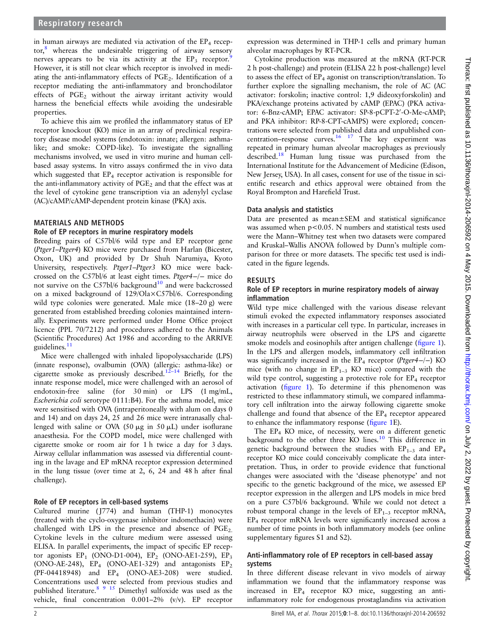in human airways are mediated via activation of the  $EP_4$  recep-tor,<sup>[8](#page-6-0)</sup> whereas the undesirable triggering of airway sensory nerves appears to be via its activity at the  $EP_3$  receptor. However, it is still not clear which receptor is involved in mediating the anti-inflammatory effects of  $PGE<sub>2</sub>$ . Identification of a receptor mediating the anti-inflammatory and bronchodilator effects of PGE<sub>2</sub> without the airway irritant activity would harness the beneficial effects while avoiding the undesirable properties.

To achieve this aim we profiled the inflammatory status of EP receptor knockout (KO) mice in an array of preclinical respiratory disease model systems (endotoxin: innate; allergen: asthmalike; and smoke: COPD-like). To investigate the signalling mechanisms involved, we used in vitro murine and human cellbased assay systems. In vitro assays confirmed the in vivo data which suggested that  $EP_4$  receptor activation is responsible for the anti-inflammatory activity of  $PGE<sub>2</sub>$  and that the effect was at the level of cytokine gene transcription via an adenylyl cyclase (AC)/cAMP/cAMP-dependent protein kinase (PKA) axis.

#### MATERIALS AND METHODS

#### Role of EP receptors in murine respiratory models

Breeding pairs of C57bl/6 wild type and EP receptor gene (Ptger1–Ptger4) KO mice were purchased from Harlan (Bicester, Oxon, UK) and provided by Dr Shuh Narumiya, Kyoto University, respectively. Ptger1–Ptger3 KO mice were backcrossed on the C57bl/6 at least eight times. Ptger4−/<sup>−</sup> mice do not survive on the C57bl/6 background<sup>[10](#page-6-0)</sup> and were backcrossed on a mixed background of 129/Ola×C57bl/6. Corresponding wild type colonies were generated. Male mice (18–20 g) were generated from established breeding colonies maintained internally. Experiments were performed under Home Office project licence (PPL 70/7212) and procedures adhered to the Animals (Scientific Procedures) Act 1986 and according to the ARRIVE guidelines.<sup>[11](#page-6-0)</sup>

Mice were challenged with inhaled lipopolysaccharide (LPS) (innate response), ovalbumin (OVA) (allergic: asthma-like) or cigarette smoke as previously described.12–[14](#page-6-0) Briefly, for the innate response model, mice were challenged with an aerosol of endotoxin-free saline (for 30 min) or LPS (1 mg/mL, Escherichia coli serotype 0111:B4). For the asthma model, mice were sensitised with OVA (intraperitoneally with alum on days 0 and 14) and on days 24, 25 and 26 mice were intranasally challenged with saline or OVA (50  $\mu$ g in 50  $\mu$ L) under isoflurane anaesthesia. For the COPD model, mice were challenged with cigarette smoke or room air for 1 h twice a day for 3 days. Airway cellular inflammation was assessed via differential counting in the lavage and EP mRNA receptor expression determined in the lung tissue (over time at 2, 6, 24 and 48 h after final challenge).

#### Role of EP receptors in cell-based systems

Cultured murine ( J774) and human (THP-1) monocytes (treated with the cyclo-oxygenase inhibitor indomethacin) were challenged with LPS in the presence and absence of  $PGE_2$ . Cytokine levels in the culture medium were assessed using ELISA. In parallel experiments, the impact of specific EP receptor agonists  $EP_1$  (ONO-D1-004),  $EP_2$  (ONO-AE1-259),  $EP_3$ (ONO-AE-248),  $EP_4$  (ONO-AE1-329) and antagonists  $EP_2$ (PF-04418948) and EP4 (ONO-AE3-208) were studied. Concentrations used were selected from previous studies and published literature.[8 9](#page-6-0) [15](#page-7-0) Dimethyl sulfoxide was used as the vehicle, final concentration 0.001–2% (v/v). EP receptor

expression was determined in THP-1 cells and primary human alveolar macrophages by RT-PCR.

Cytokine production was measured at the mRNA (RT-PCR 2 h post-challenge) and protein (ELISA 22 h post-challenge) level to assess the effect of  $EP_4$  agonist on transcription/translation. To further explore the signalling mechanism, the role of AC (AC activator: forskolin; inactive control: 1,9 dideoxyforskolin) and PKA/exchange proteins activated by cAMP (EPAC) (PKA activator: 6-Bnz-cAMP; EPAC activator: SP-8-pCPT-2'-O-Me-cAMP; and PKA inhibitor: RP-8-CPT-cAMPS) were explored; concentrations were selected from published data and unpublished concentration–response curves.<sup>16</sup> <sup>17</sup> The key experiment was repeated in primary human alveolar macrophages as previously described[.18](#page-7-0) Human lung tissue was purchased from the International Institute for the Advancement of Medicine (Edison, New Jersey, USA). In all cases, consent for use of the tissue in scientific research and ethics approval were obtained from the Royal Brompton and Harefield Trust.

#### Data analysis and statistics

Data are presented as mean±SEM and statistical significance was assumed when p<0.05. N numbers and statistical tests used were the Mann–Whitney test when two datasets were compared and Kruskal–Wallis ANOVA followed by Dunn's multiple comparison for three or more datasets. The specific test used is indicated in the figure legends.

#### RESULTS

#### Role of EP receptors in murine respiratory models of airway inflammation

Wild type mice challenged with the various disease relevant stimuli evoked the expected inflammatory responses associated with increases in a particular cell type. In particular, increases in airway neutrophils were observed in the LPS and cigarette smoke models and eosinophils after antigen challenge (fi[gure 1\)](#page-2-0). In the LPS and allergen models, inflammatory cell infiltration was significantly increased in the  $EP_4$  receptor (Ptger4−/−) KO mice (with no change in  $EP_{1-3}$  KO mice) compared with the wild type control, suggesting a protective role for  $EP_4$  receptor activation (fi[gure 1](#page-2-0)). To determine if this phenomenon was restricted to these inflammatory stimuli, we compared inflammatory cell infiltration into the airway following cigarette smoke challenge and found that absence of the  $EP_4$  receptor appeared to enhance the inflammatory response (fi[gure 1E](#page-2-0)).

The EP4 KO mice, of necessity, were on a different genetic background to the other three KO lines.<sup>[10](#page-6-0)</sup> This difference in genetic background between the studies with  $EP_{1-3}$  and  $EP_4$ receptor KO mice could conceivably complicate the data interpretation. Thus, in order to provide evidence that functional changes were associated with the 'disease phenotype' and not specific to the genetic background of the mice, we assessed EP receptor expression in the allergen and LPS models in mice bred on a pure C57bl/6 background. While we could not detect a robust temporal change in the levels of  $EP_{1-3}$  receptor mRNA, EP4 receptor mRNA levels were significantly increased across a number of time points in both inflammatory models (see online supplementary figures S1 and S2).

## Anti-inflammatory role of EP receptors in cell-based assay systems

In three different disease relevant in vivo models of airway inflammation we found that the inflammatory response was increased in EP4 receptor KO mice, suggesting an antiinflammatory role for endogenous prostaglandins via activation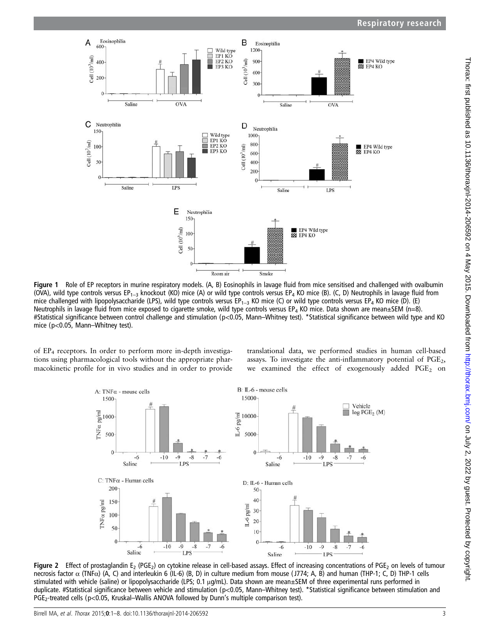<span id="page-2-0"></span>

Figure 1 Role of EP receptors in murine respiratory models. (A, B) Eosinophils in lavage fluid from mice sensitised and challenged with ovalbumin (OVA), wild type controls versus EP<sub>1–3</sub> knockout (KO) mice (A) or wild type controls versus EP<sub>4</sub> KO mice (B). (C, D) Neutrophils in lavage fluid from mice challenged with lipopolysaccharide (LPS), wild type controls versus EP<sub>1–3</sub> KO mice (C) or wild type controls versus EP<sub>4</sub> KO mice (D). (E) Neutrophils in lavage fluid from mice exposed to cigarette smoke, wild type controls versus EP<sub>4</sub> KO mice. Data shown are mean $\pm$ SEM (n=8). #Statistical significance between control challenge and stimulation (p<0.05, Mann–Whitney test). \*Statistical significance between wild type and KO mice (p<0.05, Mann–Whitney test).

of  $EP_4$  receptors. In order to perform more in-depth investigations using pharmacological tools without the appropriate pharmacokinetic profile for in vivo studies and in order to provide

translational data, we performed studies in human cell-based assays. To investigate the anti-inflammatory potential of  $PGE<sub>2</sub>$ , we examined the effect of exogenously added PGE<sub>2</sub> on



Figure 2 Effect of prostaglandin E<sub>2</sub> (PGE<sub>2</sub>) on cytokine release in cell-based assays. Effect of increasing concentrations of PGE<sub>2</sub> on levels of tumour necrosis factor α (TNFα) (A, C) and interleukin 6 (IL-6) (B, D) in culture medium from mouse ( J774; A, B) and human (THP-1; C, D) THP-1 cells stimulated with vehicle (saline) or lipopolysaccharide (LPS; 0.1 μg/mL). Data shown are mean±SEM of three experimental runs performed in duplicate. #Statistical significance between vehicle and stimulation (p<0.05, Mann–Whitney test). \*Statistical significance between stimulation and PGE<sub>2</sub>-treated cells (p<0.05, Kruskal–Wallis ANOVA followed by Dunn's multiple comparison test).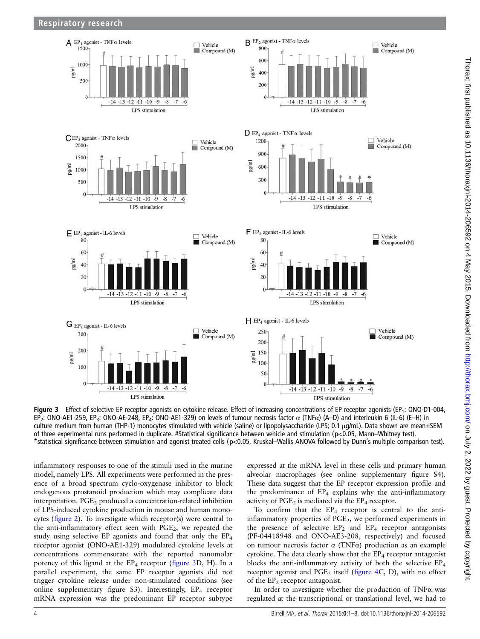

Figure 3 Effect of selective EP receptor agonists on cytokine release. Effect of increasing concentrations of EP receptor agonists (EP<sub>1</sub>: ONO-D1-004, EP2: ONO-AE1-259, EP3: ONO-AE-248, EP4: ONO-AE1-329) on levels of tumour necrosis factor α (TNFα) (A–D) and interleukin 6 (IL-6) (E–H) in culture medium from human (THP-1) monocytes stimulated with vehicle (saline) or lipopolysaccharide (LPS; 0.1 μg/mL). Data shown are mean±SEM of three experimental runs performed in duplicate. #Statistical significance between vehicle and stimulation (p<0.05, Mann–Whitney test). \*statistical significance between stimulation and agonist treated cells (p<0.05, Kruskal–Wallis ANOVA followed by Dunn's multiple comparison test).

inflammatory responses to one of the stimuli used in the murine model, namely LPS. All experiments were performed in the presence of a broad spectrum cyclo-oxygenase inhibitor to block endogenous prostanoid production which may complicate data interpretation. PGE<sub>2</sub> produced a concentration-related inhibition of LPS-induced cytokine production in mouse and human monocytes (fi[gure 2](#page-2-0)). To investigate which receptor(s) were central to the anti-inflammatory effect seen with  $PGE<sub>2</sub>$ , we repeated the study using selective EP agonists and found that only the EP4 receptor agonist (ONO-AE1-329) modulated cytokine levels at concentrations commensurate with the reported nanomolar potency of this ligand at the  $EP_4$  receptor (figure 3D, H). In a parallel experiment, the same EP receptor agonists did not trigger cytokine release under non-stimulated conditions (see online supplementary figure S3). Interestingly,  $EP_4$  receptor mRNA expression was the predominant EP receptor subtype

expressed at the mRNA level in these cells and primary human alveolar macrophages (see online supplementary figure S4). These data suggest that the EP receptor expression profile and the predominance of  $EP_4$  explains why the anti-inflammatory activity of  $PGE_2$  is mediated via the  $EP_4$  receptor.

To confirm that the  $EP_4$  receptor is central to the antiinflammatory properties of PGE<sub>2</sub>, we performed experiments in the presence of selective  $EP_2$  and  $EP_4$  receptor antagonists (PF-04418948 and ONO-AE3-208, respectively) and focused on tumour necrosis factor α (TNFα) production as an example cytokine. The data clearly show that the  $EP_4$  receptor antagonist blocks the anti-inflammatory activity of both the selective EP4 receptor agonist and  $PGE_2$  itself (fi[gure 4C](#page-4-0), D), with no effect of the  $EP<sub>2</sub>$  receptor antagonist.

In order to investigate whether the production of TNFα was regulated at the transcriptional or translational level, we had to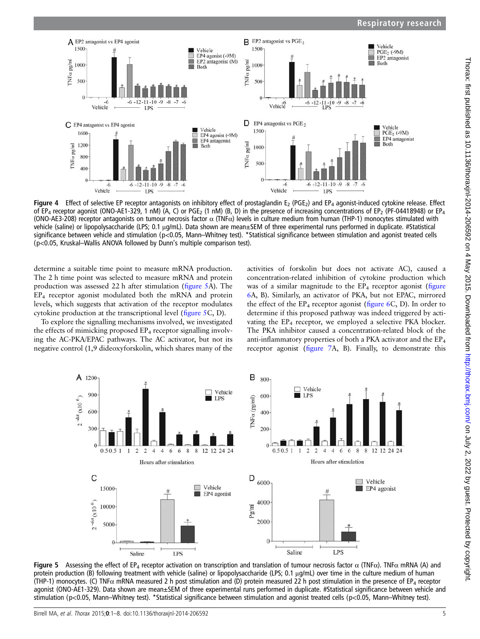<span id="page-4-0"></span>

Figure 4 Effect of selective EP receptor antagonists on inhibitory effect of prostaglandin  $E_2$  (PGE<sub>2</sub>) and EP<sub>4</sub> agonist-induced cytokine release. Effect of EP<sub>4</sub> receptor agonist (ONO-AE1-329, 1 nM) (A, C) or PGE<sub>2</sub> (1 nM) (B, D) in the presence of increasing concentrations of EP<sub>2</sub> (PF-04418948) or EP<sub>4</sub> (ONO-AE3-208) receptor antagonists on tumour necrosis factor  $\alpha$  (TNF $\alpha$ ) levels in culture medium from human (THP-1) monocytes stimulated with vehicle (saline) or lipopolysaccharide (LPS; 0.1 μg/mL). Data shown are mean±SEM of three experimental runs performed in duplicate. #Statistical significance between vehicle and stimulation (p<0.05, Mann–Whitney test). \*Statistical significance between stimulation and agonist treated cells (p<0.05, Kruskal–Wallis ANOVA followed by Dunn's multiple comparison test).

determine a suitable time point to measure mRNA production. The 2 h time point was selected to measure mRNA and protein production was assessed 22 h after stimulation (figure 5A). The EP4 receptor agonist modulated both the mRNA and protein levels, which suggests that activation of the receptor modulates cytokine production at the transcriptional level (figure 5C, D).

To explore the signalling mechanisms involved, we investigated the effects of mimicking proposed EP<sub>4</sub> receptor signalling involving the AC-PKA/EPAC pathways. The AC activator, but not its negative control (1,9 dideoxyforskolin, which shares many of the

activities of forskolin but does not activate AC), caused a concentration-related inhibition of cytokine production which was of a similar magnitude to the  $EP_4$  receptor agonist (fi[gure](#page-5-0) [6A](#page-5-0), B). Similarly, an activator of PKA, but not EPAC, mirrored the effect of the  $EP_4$  receptor agonist (fi[gure 6](#page-5-0)C, D). In order to determine if this proposed pathway was indeed triggered by activating the EP<sub>4</sub> receptor, we employed a selective PKA blocker. The PKA inhibitor caused a concentration-related block of the anti-inflammatory properties of both a PKA activator and the EP4 receptor agonist (fi[gure 7A](#page-6-0), B). Finally, to demonstrate this



Figure 5 Assessing the effect of EP<sub>4</sub> receptor activation on transcription and translation of tumour necrosis factor α (TNFα). TNFα mRNA (A) and protein production (B) following treatment with vehicle (saline) or lipopolysaccharide (LPS; 0.1 μg/mL) over time in the culture medium of human (THP-1) monocytes. (C) TNF $\alpha$  mRNA measured 2 h post stimulation and (D) protein measured 22 h post stimulation in the presence of EP<sub>4</sub> receptor agonist (ONO-AE1-329). Data shown are mean±SEM of three experimental runs performed in duplicate. #Statistical significance between vehicle and stimulation (p<0.05, Mann–Whitney test). \*Statistical significance between stimulation and agonist treated cells (p<0.05, Mann–Whitney test).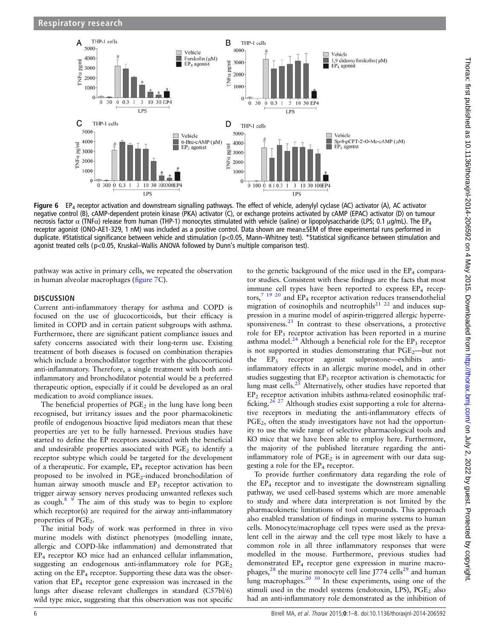<span id="page-5-0"></span>

Figure 6 EP<sub>4</sub> receptor activation and downstream signalling pathways. The effect of vehicle, adenylyl cyclase (AC) activator (A), AC activator negative control (B), cAMP-dependent protein kinase (PKA) activator (C), or exchange proteins activated by cAMP (EPAC) activator (D) on tumour necrosis factor  $\alpha$  (TNF $\alpha$ ) release from human (THP-1) monocytes stimulated with vehicle (saline) or lipopolysaccharide (LPS; 0.1 μg/mL). The EP<sub>4</sub> receptor agonist (ONO-AE1-329, 1 nM) was included as a positive control. Data shown are mean±SEM of three experimental runs performed in duplicate. #Statistical significance between vehicle and stimulation (p<0.05, Mann–Whitney test). \*Statistical significance between stimulation and agonist treated cells (p<0.05, Kruskal–Wallis ANOVA followed by Dunn's multiple comparison test).

pathway was active in primary cells, we repeated the observation in human alveolar macrophages (fi[gure 7](#page-6-0)C).

## **DISCUSSION**

Current anti-inflammatory therapy for asthma and COPD is focused on the use of glucocorticoids, but their efficacy is limited in COPD and in certain patient subgroups with asthma. Furthermore, there are significant patient compliance issues and safety concerns associated with their long-term use. Existing treatment of both diseases is focused on combination therapies which include a bronchodilator together with the glucocorticoid anti-inflammatory. Therefore, a single treatment with both antiinflammatory and bronchodilator potential would be a preferred therapeutic option, especially if it could be developed as an oral medication to avoid compliance issues.

The beneficial properties of  $PGE<sub>2</sub>$  in the lung have long been recognised, but irritancy issues and the poor pharmacokinetic profile of endogenous bioactive lipid mediators mean that these properties are yet to be fully harnessed. Previous studies have started to define the EP receptors associated with the beneficial and undesirable properties associated with  $PGE<sub>2</sub>$  to identify a receptor subtype which could be targeted for the development of a therapeutic. For example,  $EP_4$  receptor activation has been proposed to be involved in PGE<sub>2</sub>-induced bronchodilation of human airway smooth muscle and EP<sub>3</sub> receptor activation to trigger airway sensory nerves producing unwanted reflexes such as cough.[8 9](#page-6-0) The aim of this study was to begin to explore which receptor(s) are required for the airway anti-inflammatory properties of PGE<sub>2</sub>.

The initial body of work was performed in three in vivo murine models with distinct phenotypes (modelling innate, allergic and COPD-like inflammation) and demonstrated that EP4 receptor KO mice had an enhanced cellular inflammation, suggesting an endogenous anti-inflammatory role for  $PGE<sub>2</sub>$ acting on the  $EP_4$  receptor. Supporting these data was the observation that  $EP_4$  receptor gene expression was increased in the lungs after disease relevant challenges in standard (C57bl/6) wild type mice, suggesting that this observation was not specific

to the genetic background of the mice used in the  $EP_4$  comparator studies. Consistent with these findings are the facts that most immune cell types have been reported to express EP<sub>4</sub> receptors, $7^{19}$  $7^{19}$   $^{20}$  and EP<sub>4</sub> receptor activation reduces transendothelial migration of eosinophils and neutrophils<sup>[21 22](#page-7-0)</sup> and induces suppression in a murine model of aspirin-triggered allergic hyperre-sponsiveness.<sup>[23](#page-7-0)</sup> In contrast to these observations, a protective role for EP<sub>3</sub> receptor activation has been reported in a murine asthma model.<sup>[24](#page-7-0)</sup> Although a beneficial role for the  $EP_3$  receptor is not supported in studies demonstrating that  $PGE_2$ —but not the  $EP_3$  receptor agonist sulprostone—exhibits antiinflammatory effects in an allergic murine model, and in other studies suggesting that  $EP_3$  receptor activation is chemotactic for lung mast cells. $25$  Alternatively, other studies have reported that EP2 receptor activation inhibits asthma-related eosinophilic traf-ficking.<sup>[26 27](#page-7-0)</sup> Although studies exist supporting a role for alternative receptors in mediating the anti-inflammatory effects of PGE<sub>2</sub>, often the study investigators have not had the opportunity to use the wide range of selective pharmacological tools and KO mice that we have been able to employ here. Furthermore, the majority of the published literature regarding the antiinflammatory role of  $PGE_2$  is in agreement with our data suggesting a role for the  $EP_4$  receptor.

To provide further confirmatory data regarding the role of the  $EP_4$  receptor and to investigate the downstream signalling pathway, we used cell-based systems which are more amenable to study and where data interpretation is not limited by the pharmacokinetic limitations of tool compounds. This approach also enabled translation of findings in murine systems to human cells. Monocyte/macrophage cell types were used as the prevalent cell in the airway and the cell type most likely to have a common role in all three inflammatory responses that were modelled in the mouse. Furthermore, previous studies had demonstrated EP<sub>4</sub> receptor gene expression in murine macrophages, $28$  the murine monocyte cell line J774 cells<sup>[29](#page-7-0)</sup> and human lung macrophages. $20\frac{30}{10}$  In these experiments, using one of the stimuli used in the model systems (endotoxin, LPS),  $PGE_2$  also had an anti-inflammatory role demonstrated as the inhibition of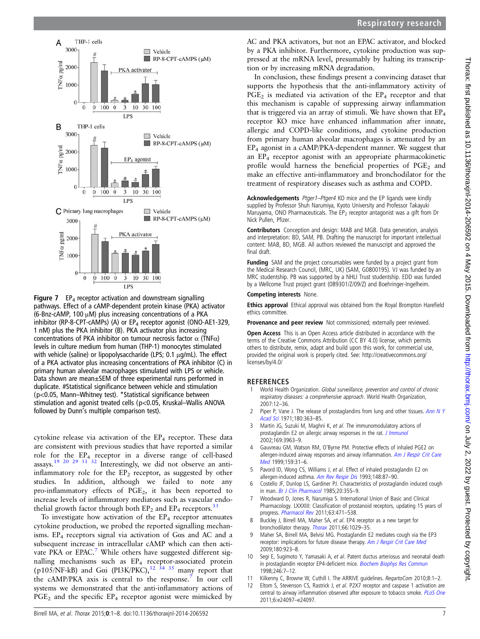<span id="page-6-0"></span>

**Figure 7** EP<sub>4</sub> receptor activation and downstream signalling pathways. Effect of a cAMP-dependent protein kinase (PKA) activator (6-Bnz-cAMP, 100 μM) plus increasing concentrations of a PKA inhibitor (RP-8-CPT-cAMPs) (A) or  $EP_4$  receptor agonist (ONO-AE1-329, 1 nM) plus the PKA inhibitor (B). PKA activator plus increasing concentrations of PKA inhibitor on tumour necrosis factor  $\alpha$  (TNF $\alpha$ ) levels in culture medium from human (THP-1) monocytes stimulated with vehicle (saline) or lipopolysaccharide (LPS; 0.1 μg/mL). The effect of a PKA activator plus increasing concentrations of PKA inhibitor (C) in primary human alveolar macrophages stimulated with LPS or vehicle. Data shown are mean±SEM of three experimental runs performed in duplicate. #Statistical significance between vehicle and stimulation (p<0.05, Mann–Whitney test). \*Statistical significance between stimulation and agonist treated cells (p<0.05, Kruskal–Wallis ANOVA followed by Dunn's multiple comparison test).

cytokine release via activation of the EP<sub>4</sub> receptor. These data are consistent with previous studies that have reported a similar role for the EP4 receptor in a diverse range of cell-based assays.[19 20 29 31 32](#page-7-0) Interestingly, we did not observe an antiinflammatory role for the  $EP_2$  receptor, as suggested by other studies. In addition, although we failed to note any pro-inflammatory effects of PGE2, it has been reported to increase levels of inflammatory mediators such as vascular endothelial growth factor through both  $EP_2$  and  $EP_4$  receptors.<sup>[33](#page-7-0)</sup>

To investigate how activation of the  $EP_4$  receptor attenuates cytokine production, we probed the reported signalling mechanisms. EP4 receptors signal via activation of Gαs and AC and a subsequent increase in intracellular cAMP which can then activate PKA or EPAC.<sup>7</sup> While others have suggested different signalling mechanisms such as EP<sub>4</sub> receptor-associated protein (p105/NF-kB) and G $\alpha$ i (PI3K/PKC),<sup>[32 34 35](#page-7-0)</sup> many report that the cAMP/PKA axis is central to the response.<sup>7</sup> In our cell systems we demonstrated that the anti-inflammatory actions of  $PGE<sub>2</sub>$  and the specific  $EP<sub>4</sub>$  receptor agonist were mimicked by

AC and PKA activators, but not an EPAC activator, and blocked by a PKA inhibitor. Furthermore, cytokine production was suppressed at the mRNA level, presumably by halting its transcription or by increasing mRNA degradation.

In conclusion, these findings present a convincing dataset that supports the hypothesis that the anti-inflammatory activity of  $PGE_2$  is mediated via activation of the  $EP_4$  receptor and that this mechanism is capable of suppressing airway inflammation that is triggered via an array of stimuli. We have shown that  $EP_4$ receptor KO mice have enhanced inflammation after innate, allergic and COPD-like conditions, and cytokine production from primary human alveolar macrophages is attenuated by an EP4 agonist in a cAMP/PKA-dependent manner. We suggest that an EP4 receptor agonist with an appropriate pharmacokinetic profile would harness the beneficial properties of  $PGE<sub>2</sub>$  and make an effective anti-inflammatory and bronchodilator for the treatment of respiratory diseases such as asthma and COPD.

Acknowledgements Ptger1-Ptger4 KO mice and the EP ligands were kindly supplied by Professor Shuh Narumiya, Kyoto University and Professor Takayuki Maruyama, ONO Pharmaceuticals. The  $EP_2$  receptor antagonist was a gift from Dr Nick Pullen, Pfizer.

Contributors Conception and design: MAB and MGB. Data generation, analysis and interpretation: BD, SAM, PB. Drafting the manuscript for important intellectual content: MAB, BD, MGB. All authors reviewed the manuscript and approved the final draft.

Funding SAM and the project consumables were funded by a project grant from the Medical Research Council, (MRC, UK) (SAM, G0800195). VJ was funded by an MRC studentship. PB was supported by a NHLI Trust studentship. EDD was funded by a Wellcome Trust project grant (089301/Z/09/Z) and Boehringer-Ingelheim.

#### Competing interests None.

Ethics approval Ethical approval was obtained from the Royal Brompton Harefield ethics committee.

Provenance and peer review Not commissioned; externally peer reviewed.

Open Access This is an Open Access article distributed in accordance with the terms of the Creative Commons Attribution (CC BY 4.0) license, which permits others to distribute, remix, adapt and build upon this work, for commercial use, provided the original work is properly cited. See: [http://creativecommons.org/](http://creativecommons.org/licenses/by/4.0/) [licenses/by/4.0/](http://creativecommons.org/licenses/by/4.0/)

# **REFERENCES**

- World Health Organization. Global surveillance, prevention and control of chronic respiratory diseases: a comprehensive approach. World Health Organization, 2007:12–36.
- Piper P, Vane J. The release of prostaglandins from lung and other tissues. [Ann N Y](http://dx.doi.org/10.1111/j.1749-6632.1971.tb53205.x) [Acad Sci](http://dx.doi.org/10.1111/j.1749-6632.1971.tb53205.x) 1971;180:363–85.
- 3 Martin JG, Suzuki M, Maghni K, et al. The immunomodulatory actions of prostaglandin E2 on allergic airway responses in the rat. *[J Immunol](http://dx.doi.org/10.4049/jimmunol.169.7.3963)* 2002;169:3963–9.
- 4 Gauvreau GM, Watson RM, O'Byrne PM. Protective effects of inhaled PGE2 on allergen-induced airway responses and airway inflammation. [Am J Respir Crit Care](http://dx.doi.org/10.1164/ajrccm.159.1.9804030) [Med](http://dx.doi.org/10.1164/ajrccm.159.1.9804030) 1999;159:31–6.
- 5 Pavord ID, Wong CS, Williams J, et al. Effect of inhaled prostaglandin E2 on allergen-induced asthma. [Am Rev Respir Dis](http://dx.doi.org/10.1164/ajrccm/148.1.87) 1993;148:87-90.
- 6 Costello JF, Dunlop LS, Gardiner PJ. Characteristics of prostaglandin induced cough in man. [Br J Clin Pharmacol](http://dx.doi.org/10.1111/j.1365-2125.1985.tb05077.x) 1985;20:355-9.
- 7 Woodward D, Jones R, Narumiya S. International Union of Basic and Clinical Pharmacology. LXXXIII: Classification of prostanoid receptors, updating 15 years of progress. [Pharmacol Rev](http://dx.doi.org/10.1124/pr.110.003517) 2011;63:471-538.
- 8 Buckley J, Birrell MA, Maher SA, et al. EP4 receptor as a new target for bronchodilator therapy. [Thorax](http://dx.doi.org/10.1136/thx.2010.158568) 2011;66:1029–35.
- 9 Maher SA, Birrell MA, Belvisi MG. Prostaglandin E2 mediates cough via the EP3 receptor: implications for future disease therapy. [Am J Respir Crit Care Med](http://dx.doi.org/10.1164/rccm.200903-0388OC) 2009;180:923–8.
- 10 Segi E, Sugimoto Y, Yamasaki A, et al. Patent ductus arteriosus and neonatal death in prostaglandin receptor EP4-deficient mice. [Biochem Biophys Res Commun](http://dx.doi.org/10.1006/bbrc.1998.8461) 1998;246:7–12.
- 11 Kilkenny C, Browne W, Cuthill I. The ARRIVE guidelines. RegartoCom 2010;8:1-2.
- 12 Eltom S, Stevenson CS, Rastrick J, et al. P2X7 receptor and caspase 1 activation are central to airway inflammation observed after exposure to tobacco smoke. [PLoS One](http://dx.doi.org/10.1371/journal.pone.0024097) 2011;6:e24097–e24097.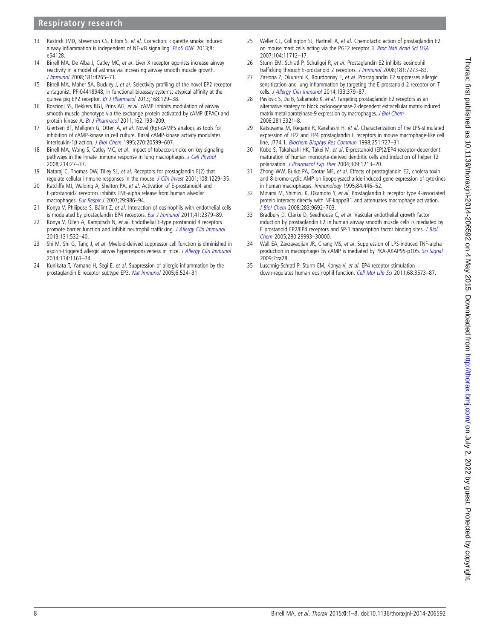# <span id="page-7-0"></span>Respiratory research

- 13 Rastrick JMD, Stevenson CS, Eltom S, et al. Correction: cigarette smoke induced airway inflammation is independent of NF-κB signalling. [PLoS ONE](http://dx.doi.org/10.1371/journal.pone.0054128) 2013;8: e54128.
- 14 Birrell MA, De Alba J, Catley MC, et al. Liver X receptor agonists increase airway reactivity in a model of asthma via increasing airway smooth muscle growth. [J Immunol](http://dx.doi.org/10.4049/jimmunol.181.6.4265) 2008;181:4265–71.
- 15 Birrell MA, Maher SA, Buckley J, et al. Selectivity profiling of the novel EP2 receptor antagonist, PF-04418948, in functional bioassay systems: atypical affinity at the guinea pig EP2 receptor. [Br J Pharmacol](http://dx.doi.org/10.1111/j.1476-5381.2012.02088.x) 2013;168:129-38.
- 16 Roscioni SS, Dekkers BGJ, Prins AG, et al. cAMP inhibits modulation of airway smooth muscle phenotype via the exchange protein activated by cAMP (EPAC) and protein kinase A. [Br J Pharmacol](http://dx.doi.org/10.1111/j.1476-5381.2010.01011.x) 2011;162:193-209.
- 17 Gjertsen BT, Mellgren G, Otten A, et al. Novel (Rp)-cAMPS analogs as tools for inhibition of cAMP-kinase in cell culture. Basal cAMP-kinase activity modulates interleukin-1β action. [J Biol Chem](http://dx.doi.org/10.1074/jbc.270.35.20599) 1995;270:20599–607.
- 18 Birrell MA, Wong S, Catley MC, et al. Impact of tobacco-smoke on key signaling pathways in the innate immune response in lung macrophages. [J Cell Physiol](http://dx.doi.org/10.1002/jcp.21158) 2008;214:27–37.
- 19 Nataraj C, Thomas DW, Tilley SL, et al. Receptors for prostaglandin E(2) that regulate cellular immune responses in the mouse. [J Clin Invest](http://dx.doi.org/10.1172/JCI200113640) 2001;108:1229-35.
- 20 Ratcliffe MJ, Walding A, Shelton PA, et al. Activation of E-prostanoid4 and E-prostanoid2 receptors inhibits TNF-alpha release from human alveolar macrophages. [Eur Respir J](http://dx.doi.org/10.1183/09031936.00131606) 2007;29:986-94.
- 21 Konya V, Philipose S, Bálint Z, et al. Interaction of eosinophils with endothelial cells is modulated by prostaglandin EP4 receptors. [Eur J Immunol](http://dx.doi.org/10.1002/eji.201141460) 2011;41:2379-89.
- 22 Konya V, Üllen A, Kampitsch N, et al. Endothelial E-type prostanoid 4 receptors promote barrier function and inhibit neutrophil trafficking. [J Allergy Clin Immunol](http://dx.doi.org/10.1016/j.jaci.2012.05.008) 2013;131:532–40.
- 23 Shi M, Shi G, Tang J, et al. Myeloid-derived suppressor cell function is diminished in aspirin-triggered allergic airway hyperresponsiveness in mice. [J Allergy Clin Immunol](http://dx.doi.org/10.1016/j.jaci.2014.04.035) 2014;134:1163–74.
- 24 Kunikata T, Yamane H, Segi E, et al. Suppression of allergic inflammation by the prostaglandin E receptor subtype EP3. [Nat Immunol](http://dx.doi.org/10.1038/ni1188) 2005;6:524–31.
- 25 Weller CL, Collington SJ, Hartnell A, et al. Chemotactic action of prostaglandin E2 on mouse mast cells acting via the PGE2 receptor 3. [Proc Natl Acad Sci USA](http://dx.doi.org/10.1073/pnas.0701700104) 2007;104:11712–17.
- 26 Sturm EM, Schratl P, Schuligoi R, et al. Prostaglandin E2 inhibits eosinophil trafficking through E-prostanoid 2 receptors. [J Immunol](http://dx.doi.org/10.4049/jimmunol.181.10.7273) 2008;181:7273-83.
- 27 Zasłona Z, Okunishi K, Bourdonnay E, et al. Prostaglandin E2 suppresses allergic sensitization and lung inflammation by targeting the E prostanoid 2 receptor on T cells. [J Allergy Clin Immunol](http://dx.doi.org/10.1016/j.jaci.2013.07.037) 2014;133:379-87.
- 28 Pavlovic S, Du B, Sakamoto K, et al. Targeting prostaglandin E2 receptors as an alternative strategy to block cyclooxygenase-2-dependent extracellular matrix-induced matrix metalloproteinase-9 expression by macrophages. [J Biol Chem](http://dx.doi.org/10.1074/jbc.M506846200) 2006;281:3321–8.
- 29 Katsuyama M, Ikegami R, Karahashi H, et al. Characterization of the LPS-stimulated expression of EP2 and EP4 prostaglandin E receptors in mouse macrophage-like cell line, J774.1. [Biochem Biophys Res Commun](http://dx.doi.org/10.1006/bbrc.1998.9540) 1998;251:727-31.
- 30 Kubo S, Takahashi HK, Takei M, et al. E-prostanoid (EP)2/EP4 receptor-dependent maturation of human monocyte-derived dendritic cells and induction of helper T2 polarization. [J Pharmacol Exp Ther](http://dx.doi.org/10.1124/jpet.103.062646) 2004;309:1213-20.
- 31 Zhong WW, Burke PA, Drotar ME, et al. Effects of prostaglandin E2, cholera toxin and 8-bromo-cyclic AMP on lipopolysaccharide-induced gene expression of cytokines in human macrophages. Immunology 1995;84:446–52.
- 32 Minami M, Shimizu K, Okamoto Y, et al. Prostaglandin E receptor type 4-associated protein interacts directly with NF-kappaB1 and attenuates macrophage activation. [J Biol Chem](http://dx.doi.org/10.1074/jbc.M709663200) 2008;283:9692–703.
- Bradbury D, Clarke D, Seedhouse C, et al. Vascular endothelial growth factor induction by prostaglandin E2 in human airway smooth muscle cells is mediated by E prostanoid EP2/EP4 receptors and SP-1 transcription factor binding sites. *[J Biol](http://dx.doi.org/10.1074/jbc.M414530200)* [Chem](http://dx.doi.org/10.1074/jbc.M414530200) 2005;280:29993–30000.
- Wall EA, Zavzavadjian JR, Chang MS, et al. Suppression of LPS-induced TNF-alpha production in macrophages by cAMP is mediated by PKA-AKAP95-p105. [Sci Signal](http://dx.doi.org/10.1126/scisignal.2000202) 2009;2:ra28.
- 35 Luschnig-Schratl P, Sturm EM, Konya V, et al. EP4 receptor stimulation down-regulates human eosinophil function. [Cell Mol Life Sci](http://dx.doi.org/10.1007/s00018-011-0642-5) 2011;68:3573–87.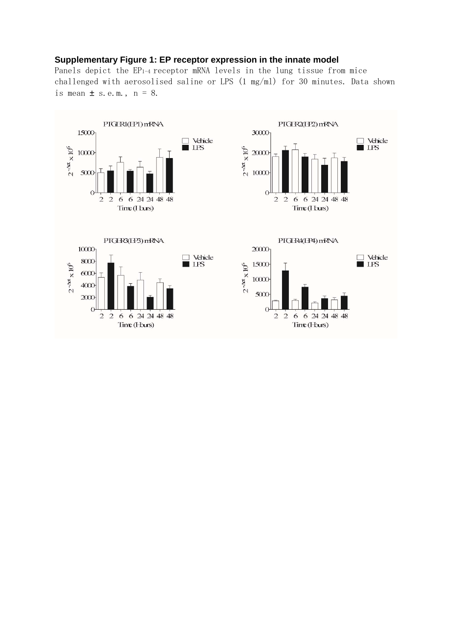# **Supplementary Figure 1: EP receptor expression in the innate model**

Panels depict the EP1-4 receptor mRNA levels in the lung tissue from mice challenged with aerosolised saline or LPS (1 mg/ml) for 30 minutes. Data shown is mean  $\pm$  s.e.m.,  $n = 8$ .

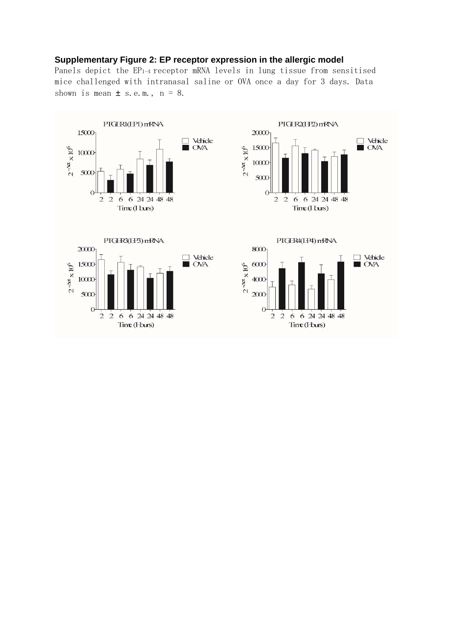# **Supplementary Figure 2: EP receptor expression in the allergic model**

Panels depict the EP1-4 receptor mRNA levels in lung tissue from sensitised mice challenged with intranasal saline or OVA once a day for 3 days. Data shown is mean  $\pm$  s.e.m.,  $n = 8$ .

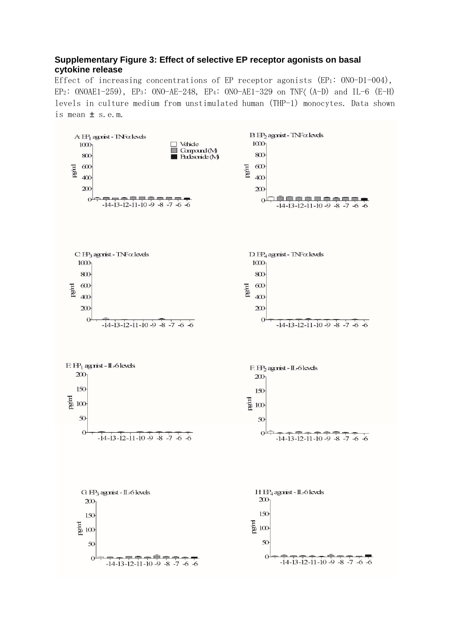# **Supplementary Figure 3: Effect of selective EP receptor agonists on basal cytokine release**

Effect of increasing concentrations of EP receptor agonists (EP1: ONO-D1-004), EP<sub>2</sub>: ONOAE1-259), EP<sub>3</sub>: ONO-AE-248, EP<sub>4</sub>: ONO-AE1-329 on TNF( $(A-D)$  and IL-6  $(E-H)$ levels in culture medium from unstimulated human (THP-1) monocytes. Data shown is mean  $\pm$  s.e.m.